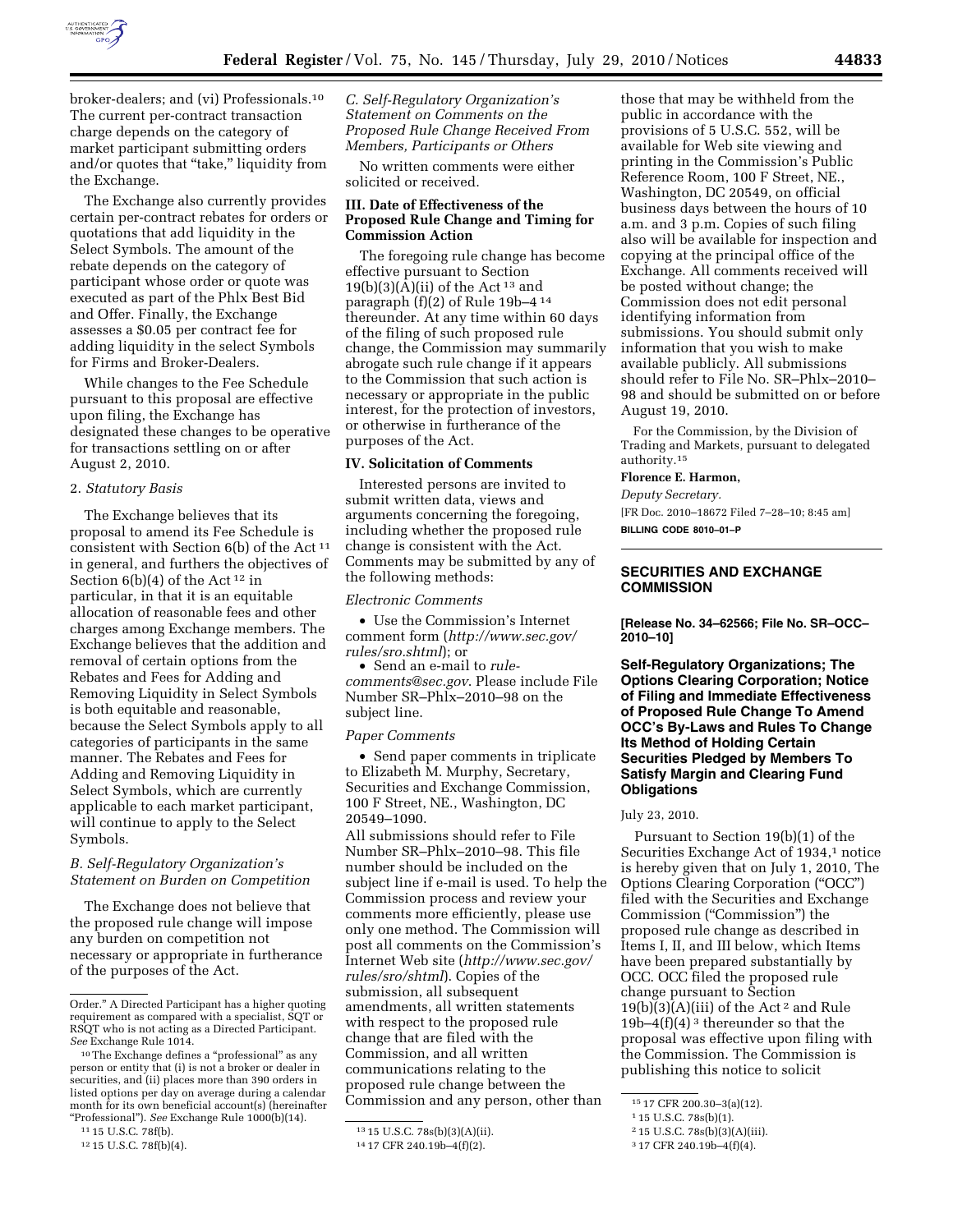

broker-dealers; and (vi) Professionals.10 The current per-contract transaction charge depends on the category of market participant submitting orders and/or quotes that "take," liquidity from the Exchange.

The Exchange also currently provides certain per-contract rebates for orders or quotations that add liquidity in the Select Symbols. The amount of the rebate depends on the category of participant whose order or quote was executed as part of the Phlx Best Bid and Offer. Finally, the Exchange assesses a \$0.05 per contract fee for adding liquidity in the select Symbols for Firms and Broker-Dealers.

While changes to the Fee Schedule pursuant to this proposal are effective upon filing, the Exchange has designated these changes to be operative for transactions settling on or after August 2, 2010.

#### 2. *Statutory Basis*

The Exchange believes that its proposal to amend its Fee Schedule is consistent with Section 6(b) of the Act  $^{\rm 11}$ in general, and furthers the objectives of Section  $6(b)(4)$  of the Act<sup>12</sup> in particular, in that it is an equitable allocation of reasonable fees and other charges among Exchange members. The Exchange believes that the addition and removal of certain options from the Rebates and Fees for Adding and Removing Liquidity in Select Symbols is both equitable and reasonable, because the Select Symbols apply to all categories of participants in the same manner. The Rebates and Fees for Adding and Removing Liquidity in Select Symbols, which are currently applicable to each market participant, will continue to apply to the Select Symbols.

# *B. Self-Regulatory Organization's Statement on Burden on Competition*

The Exchange does not believe that the proposed rule change will impose any burden on competition not necessary or appropriate in furtherance of the purposes of the Act.

*C. Self-Regulatory Organization's Statement on Comments on the Proposed Rule Change Received From Members, Participants or Others* 

No written comments were either solicited or received.

#### **III. Date of Effectiveness of the Proposed Rule Change and Timing for Commission Action**

The foregoing rule change has become effective pursuant to Section  $19(b)(3)(A)(ii)$  of the Act<sup>13</sup> and paragraph (f)(2) of Rule 19b–4 14 thereunder. At any time within 60 days of the filing of such proposed rule change, the Commission may summarily abrogate such rule change if it appears to the Commission that such action is necessary or appropriate in the public interest, for the protection of investors, or otherwise in furtherance of the purposes of the Act.

#### **IV. Solicitation of Comments**

Interested persons are invited to submit written data, views and arguments concerning the foregoing, including whether the proposed rule change is consistent with the Act. Comments may be submitted by any of the following methods:

#### *Electronic Comments*

• Use the Commission's Internet comment form (*[http://www.sec.gov/](http://www.sec.gov/rules/sro.shtml)  [rules/sro.shtml](http://www.sec.gov/rules/sro.shtml)*); or

• Send an e-mail to *[rule](mailto:rule-comments@sec.gov)[comments@sec.gov](mailto:rule-comments@sec.gov)*. Please include File Number SR–Phlx–2010–98 on the subject line.

#### *Paper Comments*

• Send paper comments in triplicate to Elizabeth M. Murphy, Secretary, Securities and Exchange Commission, 100 F Street, NE., Washington, DC 20549–1090.

All submissions should refer to File Number SR–Phlx–2010–98. This file number should be included on the subject line if e-mail is used. To help the Commission process and review your comments more efficiently, please use only one method. The Commission will post all comments on the Commission's Internet Web site (*[http://www.sec.gov/](http://www.sec.gov/rules/sro/shtml)  [rules/sro/shtml](http://www.sec.gov/rules/sro/shtml)*). Copies of the submission, all subsequent amendments, all written statements with respect to the proposed rule change that are filed with the Commission, and all written communications relating to the proposed rule change between the Commission and any person, other than

those that may be withheld from the public in accordance with the provisions of 5 U.S.C. 552, will be available for Web site viewing and printing in the Commission's Public Reference Room, 100 F Street, NE., Washington, DC 20549, on official business days between the hours of 10 a.m. and 3 p.m. Copies of such filing also will be available for inspection and copying at the principal office of the Exchange. All comments received will be posted without change; the Commission does not edit personal identifying information from submissions. You should submit only information that you wish to make available publicly. All submissions should refer to File No. SR–Phlx–2010– 98 and should be submitted on or before August 19, 2010.

For the Commission, by the Division of Trading and Markets, pursuant to delegated authority.15

# **Florence E. Harmon,**

*Deputy Secretary.* 

[FR Doc. 2010–18672 Filed 7–28–10; 8:45 am]

**BILLING CODE 8010–01–P** 

# **SECURITIES AND EXCHANGE COMMISSION**

**[Release No. 34–62566; File No. SR–OCC– 2010–10]** 

**Self-Regulatory Organizations; The Options Clearing Corporation; Notice of Filing and Immediate Effectiveness of Proposed Rule Change To Amend OCC's By-Laws and Rules To Change Its Method of Holding Certain Securities Pledged by Members To Satisfy Margin and Clearing Fund Obligations** 

July 23, 2010.

Pursuant to Section 19(b)(1) of the Securities Exchange Act of 1934,<sup>1</sup> notice is hereby given that on July 1, 2010, The Options Clearing Corporation (''OCC'') filed with the Securities and Exchange Commission (''Commission'') the proposed rule change as described in Items I, II, and III below, which Items have been prepared substantially by OCC. OCC filed the proposed rule change pursuant to Section  $19(b)(3)(A)(iii)$  of the Act<sup>2</sup> and Rule 19b–4 $(f)(4)^3$  thereunder so that the proposal was effective upon filing with the Commission. The Commission is publishing this notice to solicit

Order.'' A Directed Participant has a higher quoting requirement as compared with a specialist, SQT or RSQT who is not acting as a Directed Participant. *See* Exchange Rule 1014.

<sup>10</sup>The Exchange defines a ''professional'' as any person or entity that (i) is not a broker or dealer in securities, and (ii) places more than 390 orders in listed options per day on average during a calendar month for its own beneficial account(s) (hereinafter ''Professional''). *See* Exchange Rule 1000(b)(14).

<sup>11</sup> 15 U.S.C. 78f(b).

<sup>12</sup> 15 U.S.C. 78f(b)(4).

<sup>13</sup> 15 U.S.C. 78s(b)(3)(A)(ii).

<sup>14</sup> 17 CFR 240.19b–4(f)(2).

<sup>15</sup> 17 CFR 200.30–3(a)(12).

<sup>1</sup> 15 U.S.C. 78s(b)(1).

<sup>2</sup> 15 U.S.C. 78s(b)(3)(A)(iii).

<sup>3</sup> 17 CFR 240.19b–4(f)(4).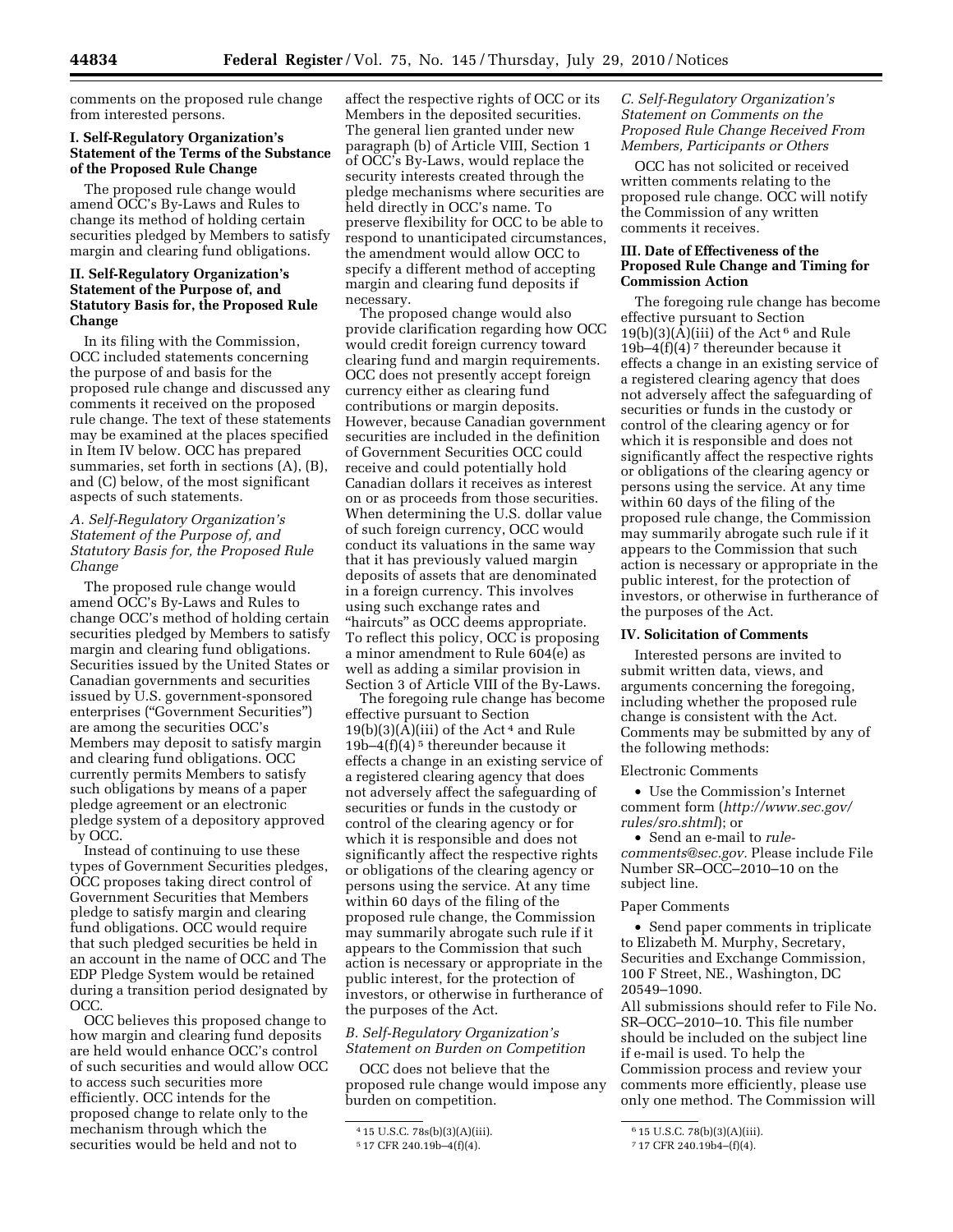comments on the proposed rule change from interested persons.

# **I. Self-Regulatory Organization's Statement of the Terms of the Substance of the Proposed Rule Change**

The proposed rule change would amend OCC's By-Laws and Rules to change its method of holding certain securities pledged by Members to satisfy margin and clearing fund obligations.

# **II. Self-Regulatory Organization's Statement of the Purpose of, and Statutory Basis for, the Proposed Rule Change**

In its filing with the Commission, OCC included statements concerning the purpose of and basis for the proposed rule change and discussed any comments it received on the proposed rule change. The text of these statements may be examined at the places specified in Item IV below. OCC has prepared summaries, set forth in sections (A), (B), and (C) below, of the most significant aspects of such statements.

# *A. Self-Regulatory Organization's Statement of the Purpose of, and Statutory Basis for, the Proposed Rule Change*

The proposed rule change would amend OCC's By-Laws and Rules to change OCC's method of holding certain securities pledged by Members to satisfy margin and clearing fund obligations. Securities issued by the United States or Canadian governments and securities issued by U.S. government-sponsored enterprises (''Government Securities'') are among the securities OCC's Members may deposit to satisfy margin and clearing fund obligations. OCC currently permits Members to satisfy such obligations by means of a paper pledge agreement or an electronic pledge system of a depository approved by OCC.

Instead of continuing to use these types of Government Securities pledges, OCC proposes taking direct control of Government Securities that Members pledge to satisfy margin and clearing fund obligations. OCC would require that such pledged securities be held in an account in the name of OCC and The EDP Pledge System would be retained during a transition period designated by OCC.

OCC believes this proposed change to how margin and clearing fund deposits are held would enhance OCC's control of such securities and would allow OCC to access such securities more efficiently. OCC intends for the proposed change to relate only to the mechanism through which the securities would be held and not to

affect the respective rights of OCC or its Members in the deposited securities. The general lien granted under new paragraph (b) of Article VIII, Section 1 of OCC's By-Laws, would replace the security interests created through the pledge mechanisms where securities are held directly in OCC's name. To preserve flexibility for OCC to be able to respond to unanticipated circumstances, the amendment would allow OCC to specify a different method of accepting margin and clearing fund deposits if necessary.

The proposed change would also provide clarification regarding how OCC would credit foreign currency toward clearing fund and margin requirements. OCC does not presently accept foreign currency either as clearing fund contributions or margin deposits. However, because Canadian government securities are included in the definition of Government Securities OCC could receive and could potentially hold Canadian dollars it receives as interest on or as proceeds from those securities. When determining the U.S. dollar value of such foreign currency, OCC would conduct its valuations in the same way that it has previously valued margin deposits of assets that are denominated in a foreign currency. This involves using such exchange rates and "haircuts" as OCC deems appropriate. To reflect this policy, OCC is proposing a minor amendment to Rule 604(e) as well as adding a similar provision in Section 3 of Article VIII of the By-Laws.

The foregoing rule change has become effective pursuant to Section  $19(b)(3)(A)(iii)$  of the Act<sup>4</sup> and Rule 19b–4 $(f)(4)^5$  thereunder because it effects a change in an existing service of a registered clearing agency that does not adversely affect the safeguarding of securities or funds in the custody or control of the clearing agency or for which it is responsible and does not significantly affect the respective rights or obligations of the clearing agency or persons using the service. At any time within 60 days of the filing of the proposed rule change, the Commission may summarily abrogate such rule if it appears to the Commission that such action is necessary or appropriate in the public interest, for the protection of investors, or otherwise in furtherance of the purposes of the Act.

#### *B. Self-Regulatory Organization's Statement on Burden on Competition*

OCC does not believe that the proposed rule change would impose any burden on competition.

# *C. Self-Regulatory Organization's Statement on Comments on the Proposed Rule Change Received From Members, Participants or Others*

OCC has not solicited or received written comments relating to the proposed rule change. OCC will notify the Commission of any written comments it receives.

#### **III. Date of Effectiveness of the Proposed Rule Change and Timing for Commission Action**

The foregoing rule change has become effective pursuant to Section  $19(b)(3)(A)(iii)$  of the Act<sup>6</sup> and Rule 19b–4 $(f)(4)^7$  thereunder because it effects a change in an existing service of a registered clearing agency that does not adversely affect the safeguarding of securities or funds in the custody or control of the clearing agency or for which it is responsible and does not significantly affect the respective rights or obligations of the clearing agency or persons using the service. At any time within 60 days of the filing of the proposed rule change, the Commission may summarily abrogate such rule if it appears to the Commission that such action is necessary or appropriate in the public interest, for the protection of investors, or otherwise in furtherance of the purposes of the Act.

#### **IV. Solicitation of Comments**

Interested persons are invited to submit written data, views, and arguments concerning the foregoing, including whether the proposed rule change is consistent with the Act. Comments may be submitted by any of the following methods:

#### Electronic Comments

• Use the Commission's Internet comment form (*[http://www.sec.gov/](http://www.sec.gov/rules/sro.shtml)  [rules/sro.shtml](http://www.sec.gov/rules/sro.shtml)*); or

• Send an e-mail to *[rule](mailto:rule-comments@sec.gov)[comments@sec.gov.](mailto:rule-comments@sec.gov)* Please include File Number SR–OCC–2010–10 on the subject line.

#### Paper Comments

• Send paper comments in triplicate to Elizabeth M. Murphy, Secretary, Securities and Exchange Commission, 100 F Street, NE., Washington, DC 20549–1090.

All submissions should refer to File No. SR–OCC–2010–10. This file number should be included on the subject line if e-mail is used. To help the Commission process and review your comments more efficiently, please use only one method. The Commission will

<sup>4</sup> 15 U.S.C. 78s(b)(3)(A)(iii).

<sup>5</sup> 17 CFR 240.19b–4(f)(4).

<sup>6</sup> 15 U.S.C. 78(b)(3)(A)(iii).

<sup>7</sup> 17 CFR 240.19b4–(f)(4).